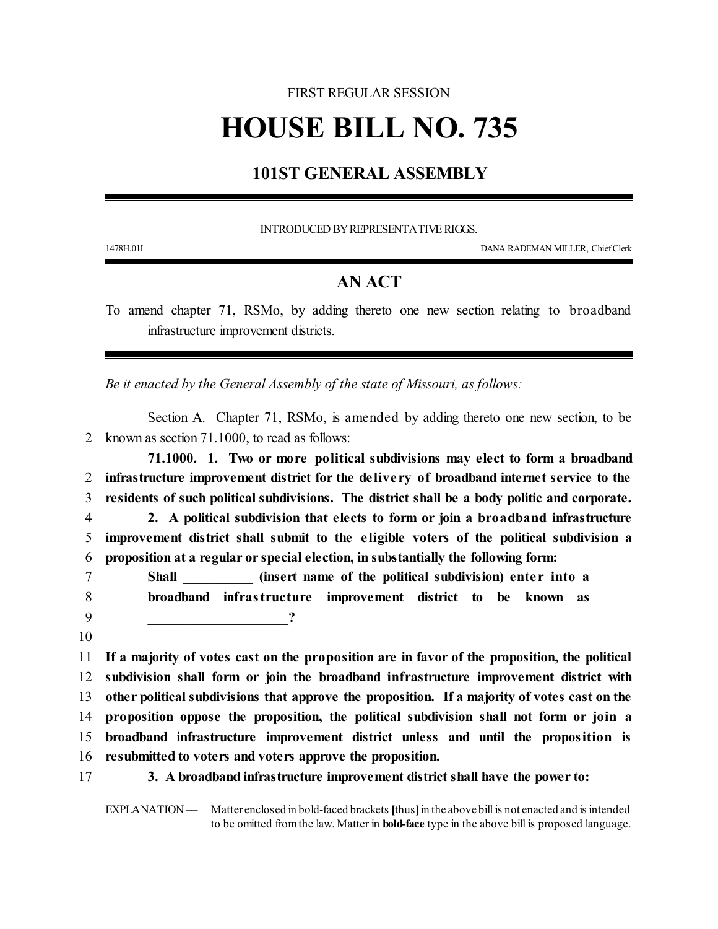## FIRST REGULAR SESSION

## **HOUSE BILL NO. 735**

## **101ST GENERAL ASSEMBLY**

INTRODUCED BY REPRESENTATIVE RIGGS.

1478H.01I DANA RADEMAN MILLER, ChiefClerk

## **AN ACT**

To amend chapter 71, RSMo, by adding thereto one new section relating to broadband infrastructure improvement districts.

*Be it enacted by the General Assembly of the state of Missouri, as follows:*

Section A. Chapter 71, RSMo, is amended by adding thereto one new section, to be 2 known as section 71.1000, to read as follows:

**71.1000. 1. Two or more political subdivisions may elect to form a broadband infrastructure improvement district for the de live ry of broadband internet service to the residents of such political subdivisions. The district shall be a body politic and corporate. 2. A political subdivision that elects to form or join a broadband infrastructure**

5 **improvement district shall submit to the e ligible voters of the political subdivision a** 6 **proposition at a regular or special election, in substantially the following form:**

7 **Shall \_\_\_\_\_\_\_\_\_\_ (insert name of the political subdivision) ente r into a** 8 **broadband infrastructure improvement district to be known as** 9 **\_\_\_\_\_\_\_\_\_\_\_\_\_\_\_\_\_\_\_\_?**

10

 **If a majority of votes cast on the proposition are in favor of the proposition, the political subdivision shall form or join the broadband infrastructure improvement district with other political subdivisions that approve the proposition. If a majority of votes cast on the proposition oppose the proposition, the political subdivision shall not form or join a broadband infrastructure improvement district unless and until the proposition is resubmitted to voters and voters approve the proposition.**

17 **3. A broadband infrastructure improvement district shall have the power to:**

EXPLANATION — Matter enclosed in bold-faced brackets **[**thus**]**in the above bill is not enacted and is intended to be omitted fromthe law. Matter in **bold-face** type in the above bill is proposed language.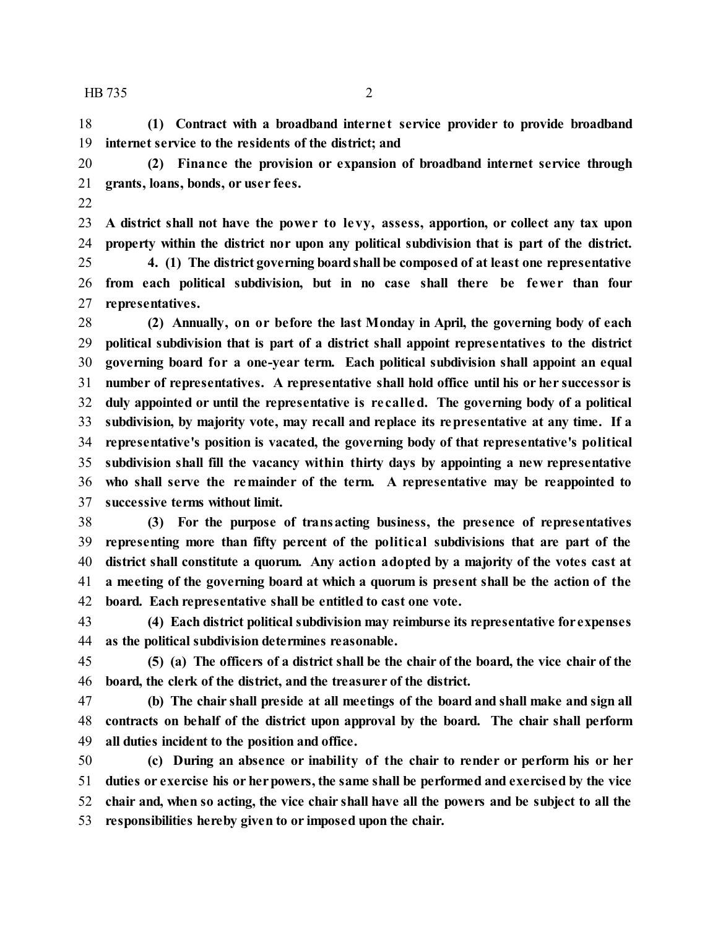HB 735 2

 **(1) Contract with a broadband interne t service provider to provide broadband internet service to the residents of the district; and**

 **(2) Finance the provision or expansion of broadband internet service through grants, loans, bonds, or user fees.**

 **A district shall not have the powe r to levy, assess, apportion, or collect any tax upon property within the district nor upon any political subdivision that is part of the district.**

 **4. (1) The district governing boardshall be composed of at least one representative from each political subdivision, but in no case shall there be fewe r than four representatives.**

 **(2) Annually, on or before the last Monday in April, the governing body of each political subdivision that is part of a district shall appoint representatives to the district governing board for a one-year term. Each political subdivision shall appoint an equal number of representatives. A representative shall hold office until his or her successor is duly appointed or until the representative is re called. The governing body of a political subdivision, by majority vote, may recall and replace its representative at any time. If a representative's position is vacated, the governing body of that representative's political subdivision shall fill the vacancy within thirty days by appointing a new representative who shall serve the remainder of the term. A representative may be reappointed to successive terms without limit.**

 **(3) For the purpose of transacting business, the presence of representatives representing more than fifty percent of the political subdivisions that are part of the district shall constitute a quorum. Any action adopted by a majority of the votes cast at a meeting of the governing board at which a quorum is present shall be the action of the board. Each representative shall be entitled to cast one vote.**

 **(4) Each district political subdivision may reimburse its representative for expenses as the political subdivision determines reasonable.**

 **(5) (a) The officers of a district shall be the chair of the board, the vice chair of the board, the clerk of the district, and the treasurer of the district.**

 **(b) The chair shall preside at all meetings of the board and shall make and sign all contracts on behalf of the district upon approval by the board. The chair shall perform all duties incident to the position and office.**

 **(c) During an absence or inability of the chair to render or perform his or her duties or exercise his or herpowers, the same shall be performed and exercised by the vice chair and, when so acting, the vice chair shall have all the powers and be subject to all the responsibilities hereby given to or imposed upon the chair.**